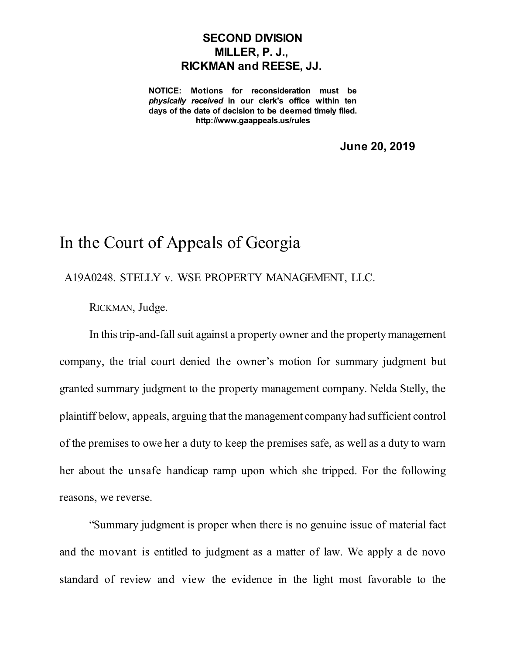## **SECOND DIVISION MILLER, P. J., RICKMAN and REESE, JJ.**

**NOTICE: Motions for reconsideration must be** *physically received* **in our clerk's office within ten days of the date of decision to be deemed timely filed. http://www.gaappeals.us/rules**

**June 20, 2019**

## In the Court of Appeals of Georgia

A19A0248. STELLY v. WSE PROPERTY MANAGEMENT, LLC.

RICKMAN, Judge.

In this trip-and-fall suit against a property owner and the property management company, the trial court denied the owner's motion for summary judgment but granted summary judgment to the property management company. Nelda Stelly, the plaintiff below, appeals, arguing that the management company had sufficient control of the premises to owe her a duty to keep the premises safe, as well as a duty to warn her about the unsafe handicap ramp upon which she tripped. For the following reasons, we reverse.

"Summary judgment is proper when there is no genuine issue of material fact and the movant is entitled to judgment as a matter of law. We apply a de novo standard of review and view the evidence in the light most favorable to the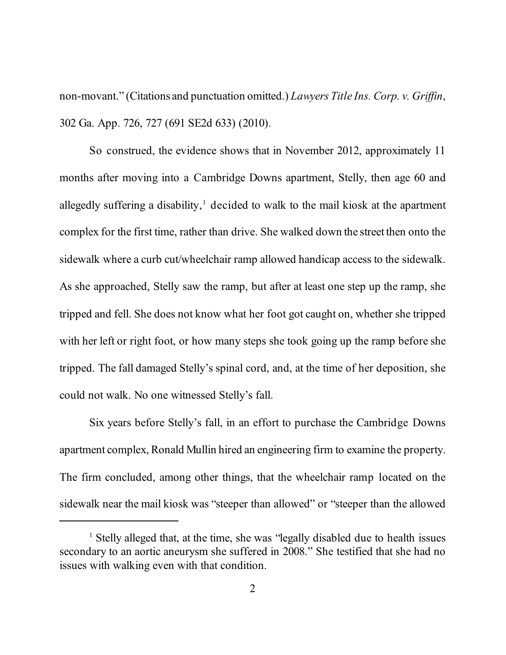non-movant." (Citations and punctuation omitted.) *Lawyers Title Ins. Corp. v. Griffin*, 302 Ga. App. 726, 727 (691 SE2d 633) (2010).

So construed, the evidence shows that in November 2012, approximately 11 months after moving into a Cambridge Downs apartment, Stelly, then age 60 and allegedly suffering a disability,<sup>1</sup> decided to walk to the mail kiosk at the apartment complex for the first time, rather than drive. She walked down the street then onto the sidewalk where a curb cut/wheelchair ramp allowed handicap access to the sidewalk. As she approached, Stelly saw the ramp, but after at least one step up the ramp, she tripped and fell. She does not know what her foot got caught on, whether she tripped with her left or right foot, or how many steps she took going up the ramp before she tripped. The fall damaged Stelly's spinal cord, and, at the time of her deposition, she could not walk. No one witnessed Stelly's fall.

Six years before Stelly's fall, in an effort to purchase the Cambridge Downs apartment complex, Ronald Mullin hired an engineering firm to examine the property. The firm concluded, among other things, that the wheelchair ramp located on the sidewalk near the mail kiosk was "steeper than allowed" or "steeper than the allowed

<sup>1</sup> Stelly alleged that, at the time, she was "legally disabled due to health issues secondary to an aortic aneurysm she suffered in 2008." She testified that she had no issues with walking even with that condition.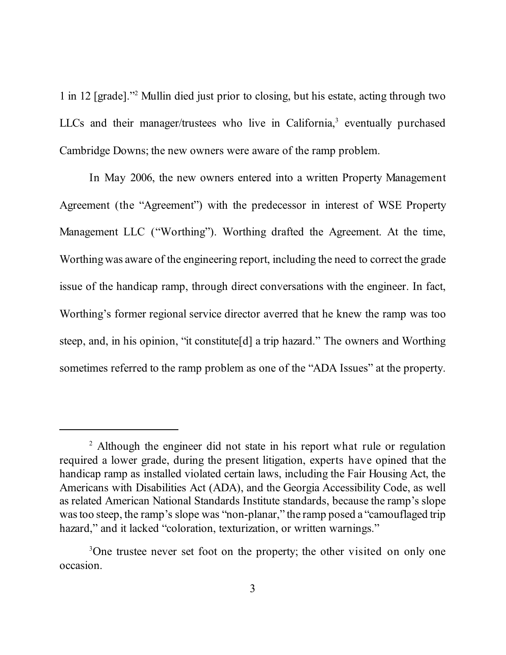1 in 12 [grade]." <sup>2</sup> Mullin died just prior to closing, but his estate, acting through two LLCs and their manager/trustees who live in California,<sup>3</sup> eventually purchased Cambridge Downs; the new owners were aware of the ramp problem.

In May 2006, the new owners entered into a written Property Management Agreement (the "Agreement") with the predecessor in interest of WSE Property Management LLC ("Worthing"). Worthing drafted the Agreement. At the time, Worthingwas aware of the engineering report, including the need to correct the grade issue of the handicap ramp, through direct conversations with the engineer. In fact, Worthing's former regional service director averred that he knew the ramp was too steep, and, in his opinion, "it constitute[d] a trip hazard." The owners and Worthing sometimes referred to the ramp problem as one of the "ADA Issues" at the property.

<sup>&</sup>lt;sup>2</sup> Although the engineer did not state in his report what rule or regulation required a lower grade, during the present litigation, experts have opined that the handicap ramp as installed violated certain laws, including the Fair Housing Act, the Americans with Disabilities Act (ADA), and the Georgia Accessibility Code, as well as related American National Standards Institute standards, because the ramp's slope was too steep, the ramp's slope was "non-planar," the ramp posed a "camouflaged trip" hazard," and it lacked "coloration, texturization, or written warnings."

<sup>&</sup>lt;sup>3</sup>One trustee never set foot on the property; the other visited on only one occasion.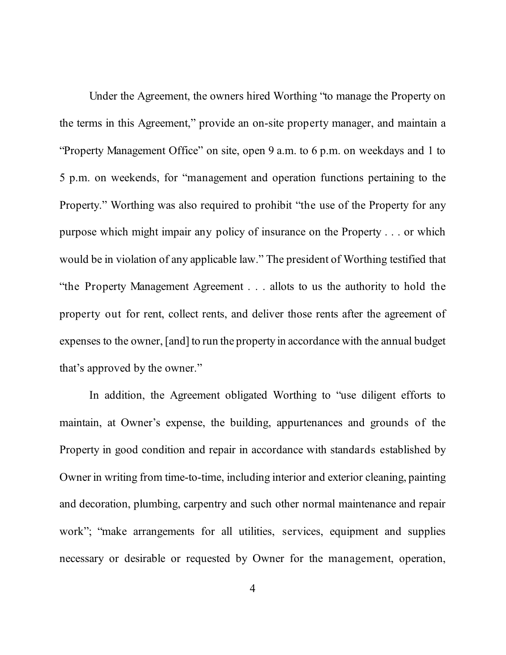Under the Agreement, the owners hired Worthing "to manage the Property on the terms in this Agreement," provide an on-site property manager, and maintain a "Property Management Office" on site, open 9 a.m. to 6 p.m. on weekdays and 1 to 5 p.m. on weekends, for "management and operation functions pertaining to the Property." Worthing was also required to prohibit "the use of the Property for any purpose which might impair any policy of insurance on the Property . . . or which would be in violation of any applicable law." The president of Worthing testified that "the Property Management Agreement . . . allots to us the authority to hold the property out for rent, collect rents, and deliver those rents after the agreement of expenses to the owner, [and] to run the property in accordance with the annual budget that's approved by the owner."

In addition, the Agreement obligated Worthing to "use diligent efforts to maintain, at Owner's expense, the building, appurtenances and grounds of the Property in good condition and repair in accordance with standards established by Owner in writing from time-to-time, including interior and exterior cleaning, painting and decoration, plumbing, carpentry and such other normal maintenance and repair work"; "make arrangements for all utilities, services, equipment and supplies necessary or desirable or requested by Owner for the management, operation,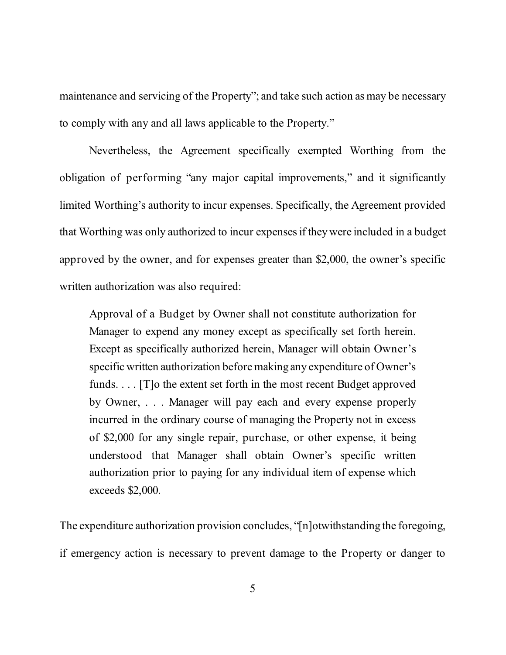maintenance and servicing of the Property"; and take such action as may be necessary to comply with any and all laws applicable to the Property."

Nevertheless, the Agreement specifically exempted Worthing from the obligation of performing "any major capital improvements," and it significantly limited Worthing's authority to incur expenses. Specifically, the Agreement provided that Worthing was only authorized to incur expensesif theywere included in a budget approved by the owner, and for expenses greater than \$2,000, the owner's specific written authorization was also required:

Approval of a Budget by Owner shall not constitute authorization for Manager to expend any money except as specifically set forth herein. Except as specifically authorized herein, Manager will obtain Owner's specific written authorization before making any expenditure of Owner's funds. . . . [T]o the extent set forth in the most recent Budget approved by Owner, . . . Manager will pay each and every expense properly incurred in the ordinary course of managing the Property not in excess of \$2,000 for any single repair, purchase, or other expense, it being understood that Manager shall obtain Owner's specific written authorization prior to paying for any individual item of expense which exceeds \$2,000.

The expenditure authorization provision concludes, "[n]otwithstanding the foregoing, if emergency action is necessary to prevent damage to the Property or danger to

5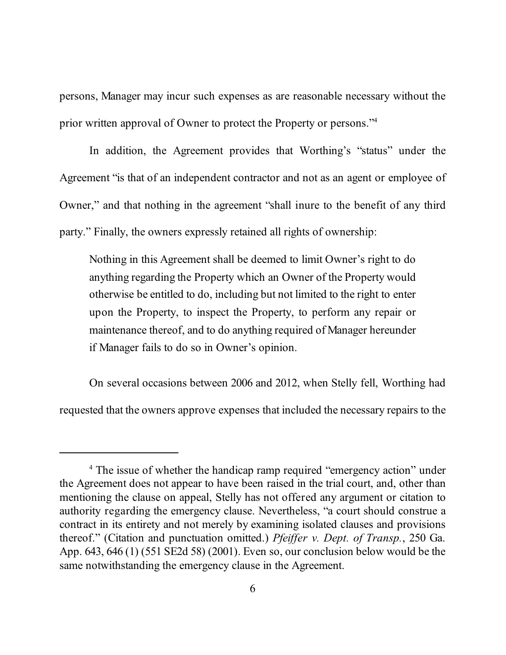persons, Manager may incur such expenses as are reasonable necessary without the prior written approval of Owner to protect the Property or persons."<sup>4</sup>

In addition, the Agreement provides that Worthing's "status" under the Agreement "is that of an independent contractor and not as an agent or employee of Owner," and that nothing in the agreement "shall inure to the benefit of any third party." Finally, the owners expressly retained all rights of ownership:

Nothing in this Agreement shall be deemed to limit Owner's right to do anything regarding the Property which an Owner of the Property would otherwise be entitled to do, including but not limited to the right to enter upon the Property, to inspect the Property, to perform any repair or maintenance thereof, and to do anything required of Manager hereunder if Manager fails to do so in Owner's opinion.

On several occasions between 2006 and 2012, when Stelly fell, Worthing had requested that the owners approve expenses that included the necessary repairs to the

<sup>&</sup>lt;sup>4</sup> The issue of whether the handicap ramp required "emergency action" under the Agreement does not appear to have been raised in the trial court, and, other than mentioning the clause on appeal, Stelly has not offered any argument or citation to authority regarding the emergency clause. Nevertheless, "a court should construe a contract in its entirety and not merely by examining isolated clauses and provisions thereof." (Citation and punctuation omitted.) *Pfeiffer v. Dept. of Transp.*, 250 Ga. App. 643, 646 (1) (551 SE2d 58) (2001). Even so, our conclusion below would be the same notwithstanding the emergency clause in the Agreement.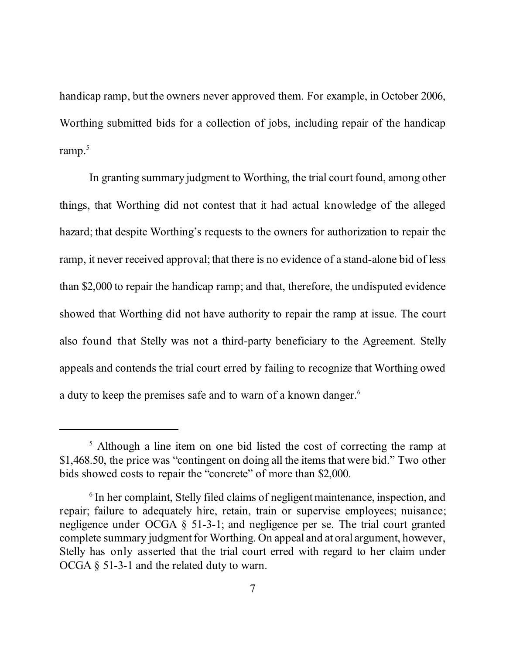handicap ramp, but the owners never approved them. For example, in October 2006, Worthing submitted bids for a collection of jobs, including repair of the handicap ramp. 5

In granting summary judgment to Worthing, the trial court found, among other things, that Worthing did not contest that it had actual knowledge of the alleged hazard; that despite Worthing's requests to the owners for authorization to repair the ramp, it never received approval; that there is no evidence of a stand-alone bid of less than \$2,000 to repair the handicap ramp; and that, therefore, the undisputed evidence showed that Worthing did not have authority to repair the ramp at issue. The court also found that Stelly was not a third-party beneficiary to the Agreement. Stelly appeals and contends the trial court erred by failing to recognize that Worthing owed a duty to keep the premises safe and to warn of a known danger. 6

<sup>5</sup> Although a line item on one bid listed the cost of correcting the ramp at \$1,468.50, the price was "contingent on doing all the items that were bid." Two other bids showed costs to repair the "concrete" of more than \$2,000.

<sup>&</sup>lt;sup>6</sup> In her complaint, Stelly filed claims of negligent maintenance, inspection, and repair; failure to adequately hire, retain, train or supervise employees; nuisance; negligence under OCGA § 51-3-1; and negligence per se. The trial court granted complete summary judgment for Worthing. On appeal and at oral argument, however, Stelly has only asserted that the trial court erred with regard to her claim under OCGA § 51-3-1 and the related duty to warn.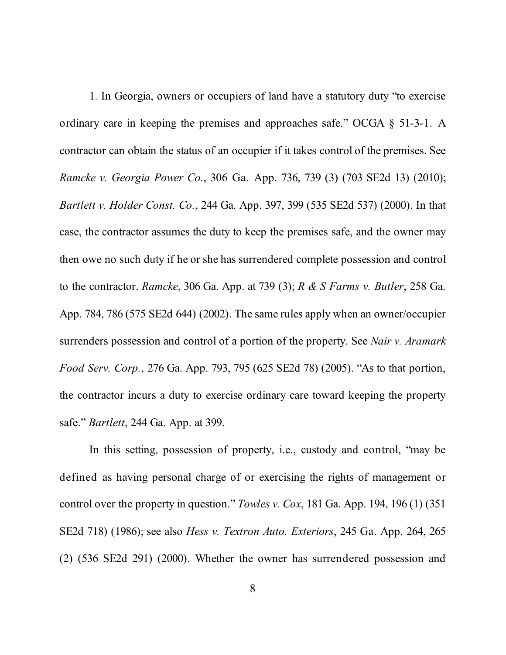1. In Georgia, owners or occupiers of land have a statutory duty "to exercise ordinary care in keeping the premises and approaches safe." OCGA § 51-3-1. A contractor can obtain the status of an occupier if it takes control of the premises. See *Ramcke v. Georgia Power Co.*, 306 Ga. App. 736, 739 (3) (703 SE2d 13) (2010); *Bartlett v. Holder Const. Co.*, 244 Ga. App. 397, 399 (535 SE2d 537) (2000). In that case, the contractor assumes the duty to keep the premises safe, and the owner may then owe no such duty if he or she has surrendered complete possession and control to the contractor. *Ramcke*, 306 Ga. App. at 739 (3); *R & S Farms v. Butler*, 258 Ga. App. 784, 786 (575 SE2d 644) (2002). The same rules apply when an owner/occupier surrenders possession and control of a portion of the property. See *Nair v. Aramark Food Serv. Corp.*, 276 Ga. App. 793, 795 (625 SE2d 78) (2005). "As to that portion, the contractor incurs a duty to exercise ordinary care toward keeping the property safe." *Bartlett*, 244 Ga. App. at 399.

In this setting, possession of property, i.e., custody and control, "may be defined as having personal charge of or exercising the rights of management or control over the property in question." *Towles v. Cox*, 181 Ga. App. 194, 196 (1) (351 SE2d 718) (1986); see also *Hess v. Textron Auto. Exteriors*, 245 Ga. App. 264, 265 (2) (536 SE2d 291) (2000). Whether the owner has surrendered possession and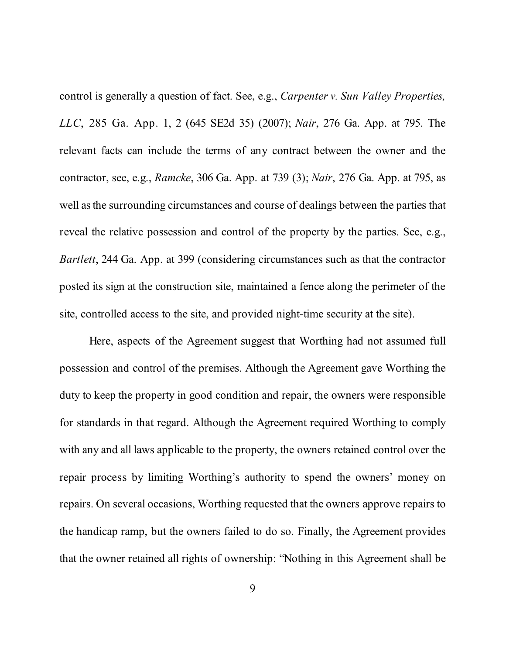control is generally a question of fact. See, e.g., *Carpenter v. Sun Valley Properties, LLC*, 285 Ga. App. 1, 2 (645 SE2d 35) (2007); *Nair*, 276 Ga. App. at 795. The relevant facts can include the terms of any contract between the owner and the contractor, see, e.g., *Ramcke*, 306 Ga. App. at 739 (3); *Nair*, 276 Ga. App. at 795, as well asthe surrounding circumstances and course of dealings between the parties that reveal the relative possession and control of the property by the parties. See, e.g., *Bartlett*, 244 Ga. App. at 399 (considering circumstances such as that the contractor posted its sign at the construction site, maintained a fence along the perimeter of the site, controlled access to the site, and provided night-time security at the site).

Here, aspects of the Agreement suggest that Worthing had not assumed full possession and control of the premises. Although the Agreement gave Worthing the duty to keep the property in good condition and repair, the owners were responsible for standards in that regard. Although the Agreement required Worthing to comply with any and all laws applicable to the property, the owners retained control over the repair process by limiting Worthing's authority to spend the owners' money on repairs. On several occasions, Worthing requested that the owners approve repairs to the handicap ramp, but the owners failed to do so. Finally, the Agreement provides that the owner retained all rights of ownership: "Nothing in this Agreement shall be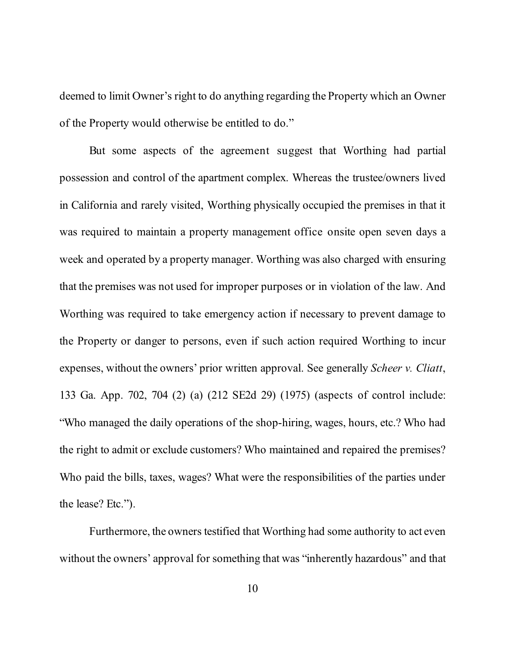deemed to limit Owner's right to do anything regarding the Property which an Owner of the Property would otherwise be entitled to do."

But some aspects of the agreement suggest that Worthing had partial possession and control of the apartment complex. Whereas the trustee/owners lived in California and rarely visited, Worthing physically occupied the premises in that it was required to maintain a property management office onsite open seven days a week and operated by a property manager. Worthing was also charged with ensuring that the premises was not used for improper purposes or in violation of the law. And Worthing was required to take emergency action if necessary to prevent damage to the Property or danger to persons, even if such action required Worthing to incur expenses, without the owners' prior written approval. See generally *Scheer v. Cliatt*, 133 Ga. App. 702, 704 (2) (a) (212 SE2d 29) (1975) (aspects of control include: "Who managed the daily operations of the shop-hiring, wages, hours, etc.? Who had the right to admit or exclude customers? Who maintained and repaired the premises? Who paid the bills, taxes, wages? What were the responsibilities of the parties under the lease? Etc.").

Furthermore, the owners testified that Worthing had some authority to act even without the owners' approval for something that was "inherently hazardous" and that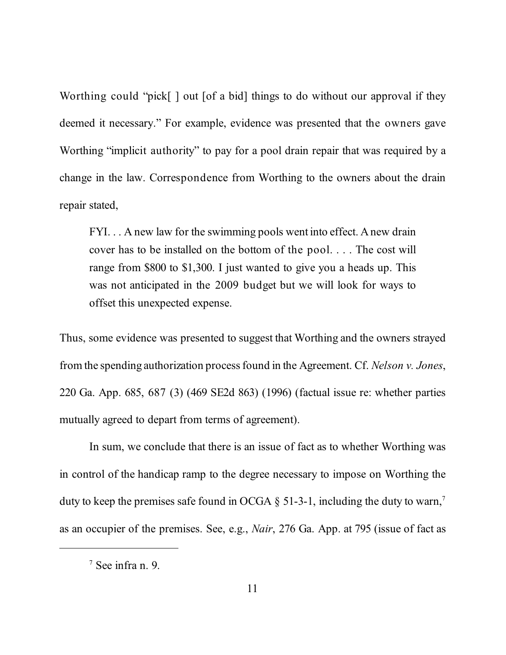Worthing could "pick[] out [of a bid] things to do without our approval if they deemed it necessary." For example, evidence was presented that the owners gave Worthing "implicit authority" to pay for a pool drain repair that was required by a change in the law. Correspondence from Worthing to the owners about the drain repair stated,

FYI. . . A new law for the swimming pools went into effect. Anew drain cover has to be installed on the bottom of the pool. . . . The cost will range from \$800 to \$1,300. I just wanted to give you a heads up. This was not anticipated in the 2009 budget but we will look for ways to offset this unexpected expense.

Thus, some evidence was presented to suggest that Worthing and the owners strayed from the spending authorization process found in the Agreement. Cf. *Nelson v. Jones*, 220 Ga. App. 685, 687 (3) (469 SE2d 863) (1996) (factual issue re: whether parties mutually agreed to depart from terms of agreement).

In sum, we conclude that there is an issue of fact as to whether Worthing was in control of the handicap ramp to the degree necessary to impose on Worthing the duty to keep the premises safe found in OCGA  $\S$  51-3-1, including the duty to warn,<sup>7</sup> as an occupier of the premises. See, e.g., *Nair*, 276 Ga. App. at 795 (issue of fact as

<sup>7</sup> See infra n. 9.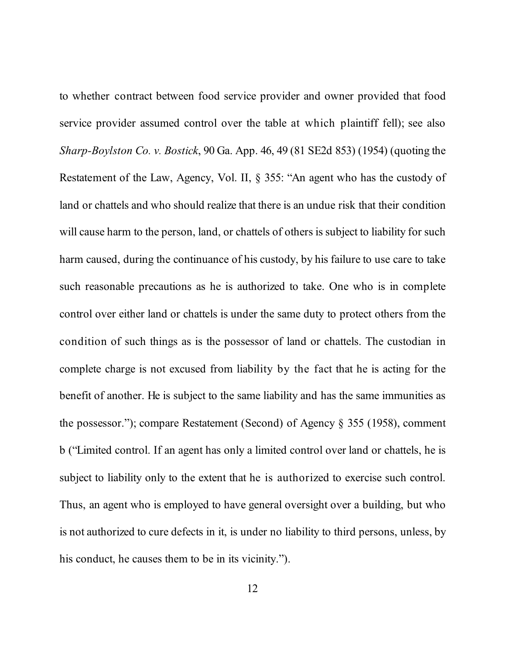to whether contract between food service provider and owner provided that food service provider assumed control over the table at which plaintiff fell); see also *Sharp-Boylston Co. v. Bostick*, 90 Ga. App. 46, 49 (81 SE2d 853) (1954) (quoting the Restatement of the Law, Agency, Vol. II, § 355: "An agent who has the custody of land or chattels and who should realize that there is an undue risk that their condition will cause harm to the person, land, or chattels of others is subject to liability for such harm caused, during the continuance of his custody, by his failure to use care to take such reasonable precautions as he is authorized to take. One who is in complete control over either land or chattels is under the same duty to protect others from the condition of such things as is the possessor of land or chattels. The custodian in complete charge is not excused from liability by the fact that he is acting for the benefit of another. He is subject to the same liability and has the same immunities as the possessor."); compare Restatement (Second) of Agency § 355 (1958), comment b ("Limited control. If an agent has only a limited control over land or chattels, he is subject to liability only to the extent that he is authorized to exercise such control. Thus, an agent who is employed to have general oversight over a building, but who is not authorized to cure defects in it, is under no liability to third persons, unless, by his conduct, he causes them to be in its vicinity.").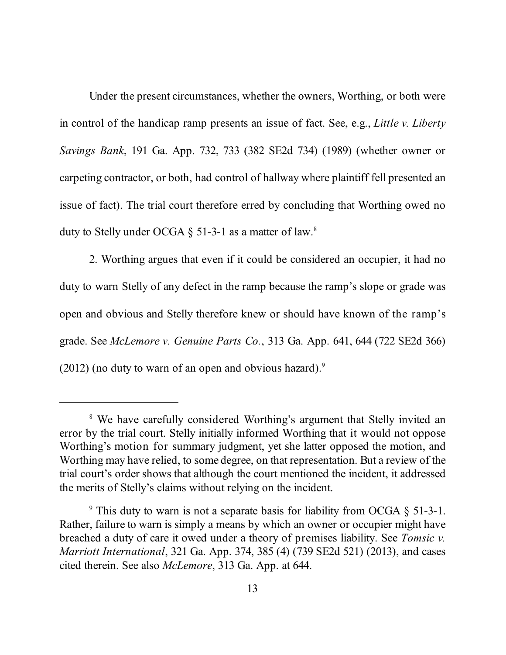Under the present circumstances, whether the owners, Worthing, or both were in control of the handicap ramp presents an issue of fact. See, e.g., *Little v. Liberty Savings Bank*, 191 Ga. App. 732, 733 (382 SE2d 734) (1989) (whether owner or carpeting contractor, or both, had control of hallway where plaintiff fell presented an issue of fact). The trial court therefore erred by concluding that Worthing owed no duty to Stelly under OCGA  $\S$  51-3-1 as a matter of law.<sup>8</sup>

2. Worthing argues that even if it could be considered an occupier, it had no duty to warn Stelly of any defect in the ramp because the ramp's slope or grade was open and obvious and Stelly therefore knew or should have known of the ramp's grade. See *McLemore v. Genuine Parts Co.*, 313 Ga. App. 641, 644 (722 SE2d 366)  $(2012)$  (no duty to warn of an open and obvious hazard).<sup>9</sup>

<sup>&</sup>lt;sup>8</sup> We have carefully considered Worthing's argument that Stelly invited an error by the trial court. Stelly initially informed Worthing that it would not oppose Worthing's motion for summary judgment, yet she latter opposed the motion, and Worthing may have relied, to some degree, on that representation. But a review of the trial court's order shows that although the court mentioned the incident, it addressed the merits of Stelly's claims without relying on the incident.

<sup>&</sup>lt;sup>9</sup> This duty to warn is not a separate basis for liability from OCGA  $\S$  51-3-1. Rather, failure to warn is simply a means by which an owner or occupier might have breached a duty of care it owed under a theory of premises liability. See *Tomsic v. Marriott International*, 321 Ga. App. 374, 385 (4) (739 SE2d 521) (2013), and cases cited therein. See also *McLemore*, 313 Ga. App. at 644.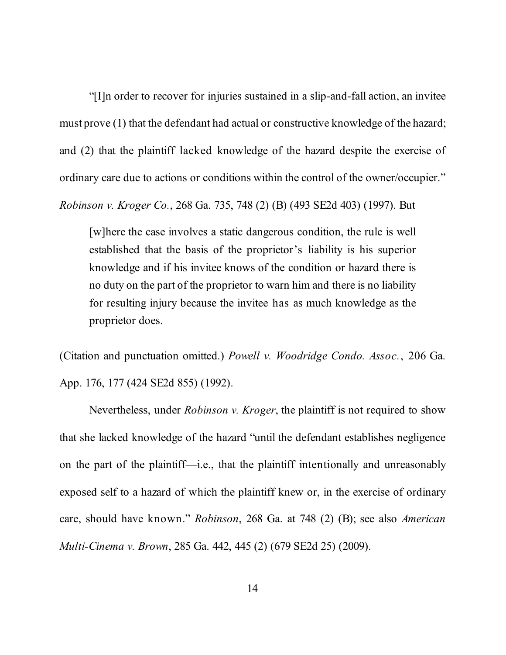"[I]n order to recover for injuries sustained in a slip-and-fall action, an invitee must prove (1) that the defendant had actual or constructive knowledge of the hazard; and (2) that the plaintiff lacked knowledge of the hazard despite the exercise of ordinary care due to actions or conditions within the control of the owner/occupier."

*Robinson v. Kroger Co.*, 268 Ga. 735, 748 (2) (B) (493 SE2d 403) (1997). But

[w]here the case involves a static dangerous condition, the rule is well established that the basis of the proprietor's liability is his superior knowledge and if his invitee knows of the condition or hazard there is no duty on the part of the proprietor to warn him and there is no liability for resulting injury because the invitee has as much knowledge as the proprietor does.

(Citation and punctuation omitted.) *Powell v. Woodridge Condo. Assoc.*, 206 Ga. App. 176, 177 (424 SE2d 855) (1992).

Nevertheless, under *Robinson v. Kroger*, the plaintiff is not required to show that she lacked knowledge of the hazard "until the defendant establishes negligence on the part of the plaintiff—i.e., that the plaintiff intentionally and unreasonably exposed self to a hazard of which the plaintiff knew or, in the exercise of ordinary care, should have known." *Robinson*, 268 Ga. at 748 (2) (B); see also *American Multi-Cinema v. Brown*, 285 Ga. 442, 445 (2) (679 SE2d 25) (2009).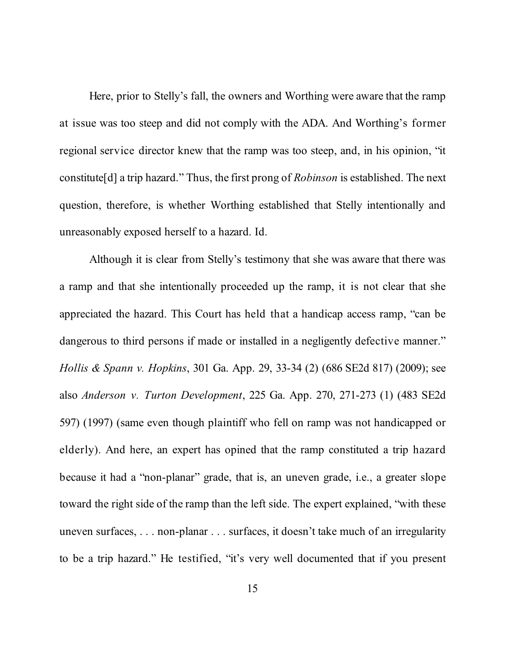Here, prior to Stelly's fall, the owners and Worthing were aware that the ramp at issue was too steep and did not comply with the ADA. And Worthing's former regional service director knew that the ramp was too steep, and, in his opinion, "it constitute[d] a trip hazard." Thus, the first prong of *Robinson* is established. The next question, therefore, is whether Worthing established that Stelly intentionally and unreasonably exposed herself to a hazard. Id.

Although it is clear from Stelly's testimony that she was aware that there was a ramp and that she intentionally proceeded up the ramp, it is not clear that she appreciated the hazard. This Court has held that a handicap access ramp, "can be dangerous to third persons if made or installed in a negligently defective manner." *Hollis & Spann v. Hopkins*, 301 Ga. App. 29, 33-34 (2) (686 SE2d 817) (2009); see also *Anderson v. Turton Development*, 225 Ga. App. 270, 271-273 (1) (483 SE2d 597) (1997) (same even though plaintiff who fell on ramp was not handicapped or elderly). And here, an expert has opined that the ramp constituted a trip hazard because it had a "non-planar" grade, that is, an uneven grade, i.e., a greater slope toward the right side of the ramp than the left side. The expert explained, "with these uneven surfaces, . . . non-planar . . . surfaces, it doesn't take much of an irregularity to be a trip hazard." He testified, "it's very well documented that if you present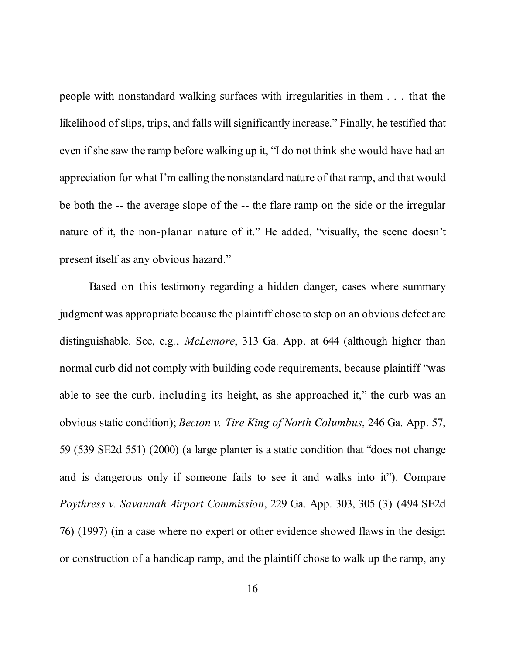people with nonstandard walking surfaces with irregularities in them . . . that the likelihood of slips, trips, and falls will significantly increase." Finally, he testified that even if she saw the ramp before walking up it, "I do not think she would have had an appreciation for what I'm calling the nonstandard nature of that ramp, and that would be both the -- the average slope of the -- the flare ramp on the side or the irregular nature of it, the non-planar nature of it." He added, "visually, the scene doesn't present itself as any obvious hazard."

Based on this testimony regarding a hidden danger, cases where summary judgment was appropriate because the plaintiff chose to step on an obvious defect are distinguishable. See, e.g., *McLemore*, 313 Ga. App. at 644 (although higher than normal curb did not comply with building code requirements, because plaintiff "was able to see the curb, including its height, as she approached it," the curb was an obvious static condition); *Becton v. Tire King of North Columbus*, 246 Ga. App. 57, 59 (539 SE2d 551) (2000) (a large planter is a static condition that "does not change and is dangerous only if someone fails to see it and walks into it"). Compare *Poythress v. Savannah Airport Commission*, 229 Ga. App. 303, 305 (3) (494 SE2d 76) (1997) (in a case where no expert or other evidence showed flaws in the design or construction of a handicap ramp, and the plaintiff chose to walk up the ramp, any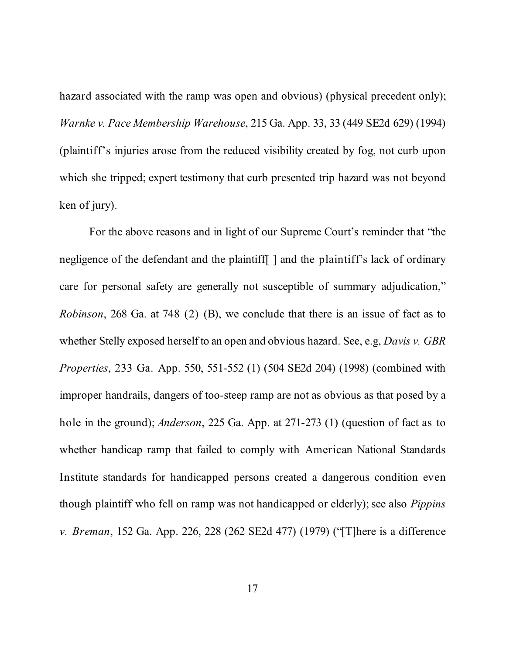hazard associated with the ramp was open and obvious) (physical precedent only); *Warnke v. Pace Membership Warehouse*, 215 Ga. App. 33, 33 (449 SE2d 629) (1994) (plaintiff's injuries arose from the reduced visibility created by fog, not curb upon which she tripped; expert testimony that curb presented trip hazard was not beyond ken of jury).

For the above reasons and in light of our Supreme Court's reminder that "the negligence of the defendant and the plaintiff  $\vert$  and the plaintiff's lack of ordinary care for personal safety are generally not susceptible of summary adjudication," *Robinson*, 268 Ga. at 748 (2) (B), we conclude that there is an issue of fact as to whether Stelly exposed herself to an open and obvious hazard. See, e.g, *Davis v. GBR Properties*, 233 Ga. App. 550, 551-552 (1) (504 SE2d 204) (1998) (combined with improper handrails, dangers of too-steep ramp are not as obvious as that posed by a hole in the ground); *Anderson*, 225 Ga. App. at 271-273 (1) (question of fact as to whether handicap ramp that failed to comply with American National Standards Institute standards for handicapped persons created a dangerous condition even though plaintiff who fell on ramp was not handicapped or elderly); see also *Pippins v. Breman*, 152 Ga. App. 226, 228 (262 SE2d 477) (1979) ("[T]here is a difference